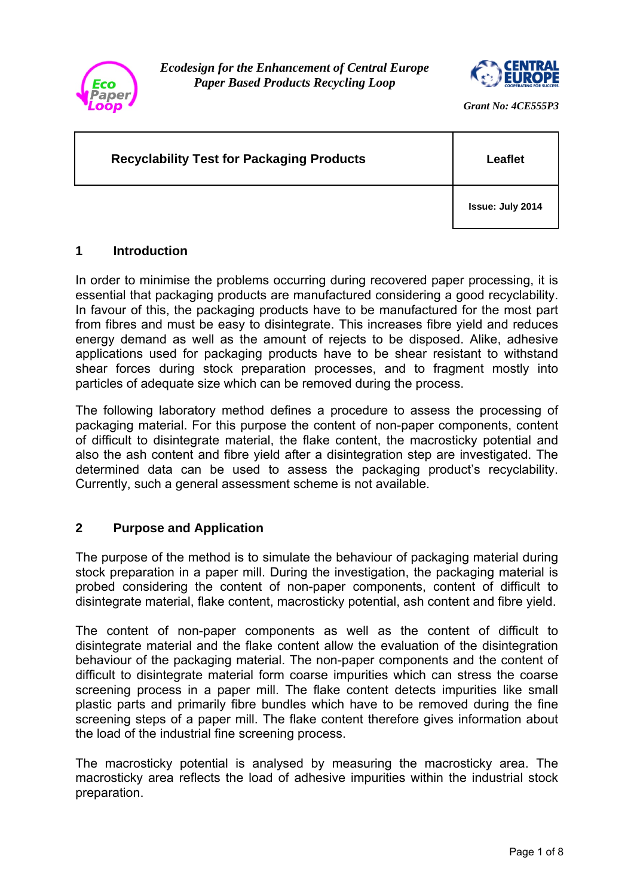

*Ecodesign for the Enhancement of Central Europe Paper Based Products Recycling Loop* 



*Grant No: 4CE555P3* 

# **Recyclability Test for Packaging Products Fig. 1.1. Example 1.1. Leaflet**

**Issue: July 2014** 

## **1 Introduction**

In order to minimise the problems occurring during recovered paper processing, it is essential that packaging products are manufactured considering a good recyclability. In favour of this, the packaging products have to be manufactured for the most part from fibres and must be easy to disintegrate. This increases fibre yield and reduces energy demand as well as the amount of rejects to be disposed. Alike, adhesive applications used for packaging products have to be shear resistant to withstand shear forces during stock preparation processes, and to fragment mostly into particles of adequate size which can be removed during the process.

The following laboratory method defines a procedure to assess the processing of packaging material. For this purpose the content of non-paper components, content of difficult to disintegrate material, the flake content, the macrosticky potential and also the ash content and fibre yield after a disintegration step are investigated. The determined data can be used to assess the packaging product's recyclability. Currently, such a general assessment scheme is not available.

# **2 Purpose and Application**

The purpose of the method is to simulate the behaviour of packaging material during stock preparation in a paper mill. During the investigation, the packaging material is probed considering the content of non-paper components, content of difficult to disintegrate material, flake content, macrosticky potential, ash content and fibre yield.

The content of non-paper components as well as the content of difficult to disintegrate material and the flake content allow the evaluation of the disintegration behaviour of the packaging material. The non-paper components and the content of difficult to disintegrate material form coarse impurities which can stress the coarse screening process in a paper mill. The flake content detects impurities like small plastic parts and primarily fibre bundles which have to be removed during the fine screening steps of a paper mill. The flake content therefore gives information about the load of the industrial fine screening process.

The macrosticky potential is analysed by measuring the macrosticky area. The macrosticky area reflects the load of adhesive impurities within the industrial stock preparation.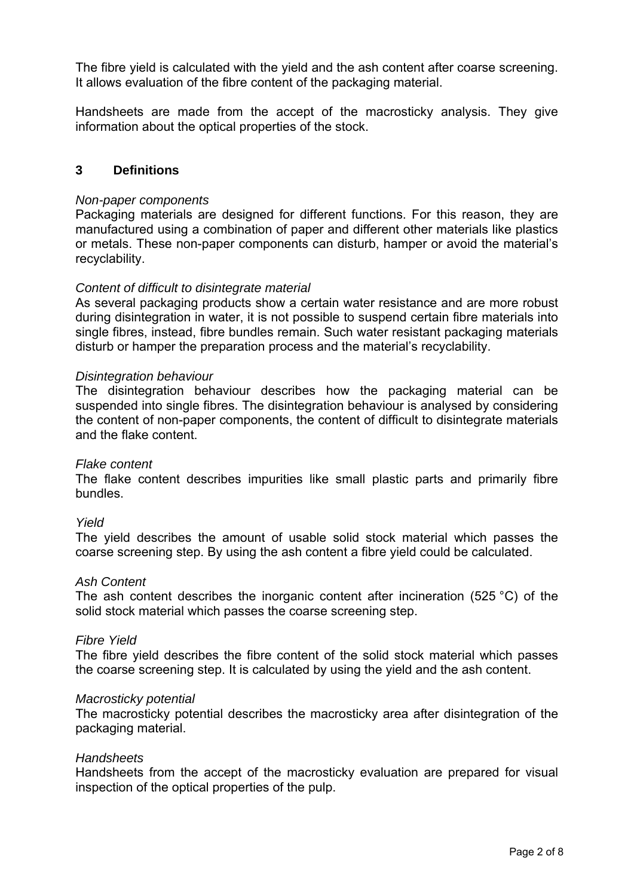The fibre yield is calculated with the yield and the ash content after coarse screening. It allows evaluation of the fibre content of the packaging material.

Handsheets are made from the accept of the macrosticky analysis. They give information about the optical properties of the stock.

### **3 Definitions**

#### *Non-paper components*

Packaging materials are designed for different functions. For this reason, they are manufactured using a combination of paper and different other materials like plastics or metals. These non-paper components can disturb, hamper or avoid the material's recyclability.

### *Content of difficult to disintegrate material*

As several packaging products show a certain water resistance and are more robust during disintegration in water, it is not possible to suspend certain fibre materials into single fibres, instead, fibre bundles remain. Such water resistant packaging materials disturb or hamper the preparation process and the material's recyclability.

#### *Disintegration behaviour*

The disintegration behaviour describes how the packaging material can be suspended into single fibres. The disintegration behaviour is analysed by considering the content of non-paper components, the content of difficult to disintegrate materials and the flake content.

### *Flake content*

The flake content describes impurities like small plastic parts and primarily fibre bundles.

### *Yield*

The yield describes the amount of usable solid stock material which passes the coarse screening step. By using the ash content a fibre yield could be calculated.

#### *Ash Content*

The ash content describes the inorganic content after incineration (525 °C) of the solid stock material which passes the coarse screening step.

#### *Fibre Yield*

The fibre yield describes the fibre content of the solid stock material which passes the coarse screening step. It is calculated by using the yield and the ash content.

#### *Macrosticky potential*

The macrosticky potential describes the macrosticky area after disintegration of the packaging material.

#### *Handsheets*

Handsheets from the accept of the macrosticky evaluation are prepared for visual inspection of the optical properties of the pulp.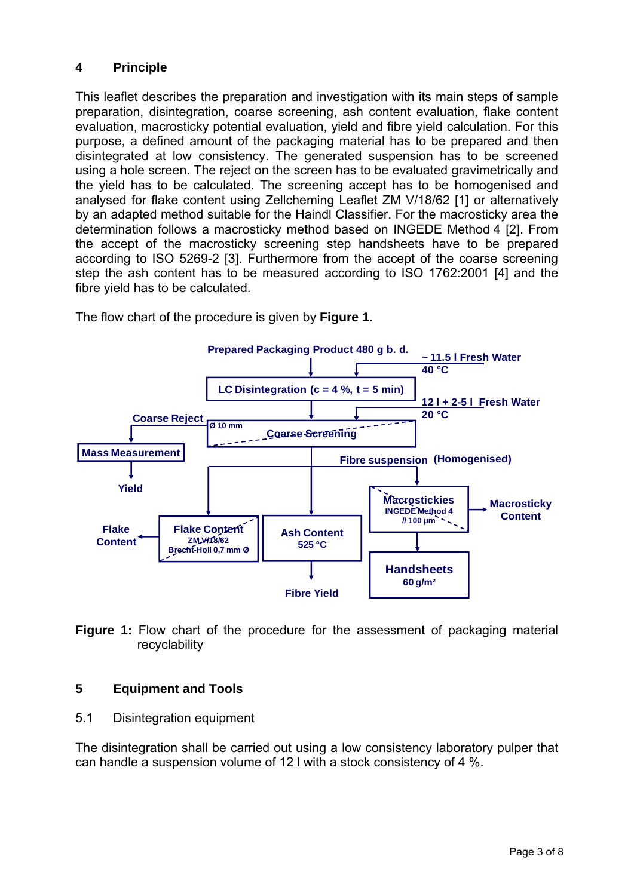# **4 Principle**

This leaflet describes the preparation and investigation with its main steps of sample preparation, disintegration, coarse screening, ash content evaluation, flake content evaluation, macrosticky potential evaluation, yield and fibre yield calculation. For this purpose, a defined amount of the packaging material has to be prepared and then disintegrated at low consistency. The generated suspension has to be screened using a hole screen. The reject on the screen has to be evaluated gravimetrically and the yield has to be calculated. The screening accept has to be homogenised and analysed for flake content using Zellcheming Leaflet ZM V/18/62 [1] or alternatively by an adapted method suitable for the Haindl Classifier. For the macrosticky area the determination follows a macrosticky method based on INGEDE Method 4 [2]. From the accept of the macrosticky screening step handsheets have to be prepared according to ISO 5269-2 [3]. Furthermore from the accept of the coarse screening step the ash content has to be measured according to ISO 1762:2001 [4] and the fibre yield has to be calculated.



The flow chart of the procedure is given by **Figure 1**.

**Figure 1:** Flow chart of the procedure for the assessment of packaging material recyclability

# **5 Equipment and Tools**

# 5.1 Disintegration equipment

The disintegration shall be carried out using a low consistency laboratory pulper that can handle a suspension volume of 12 l with a stock consistency of 4 %.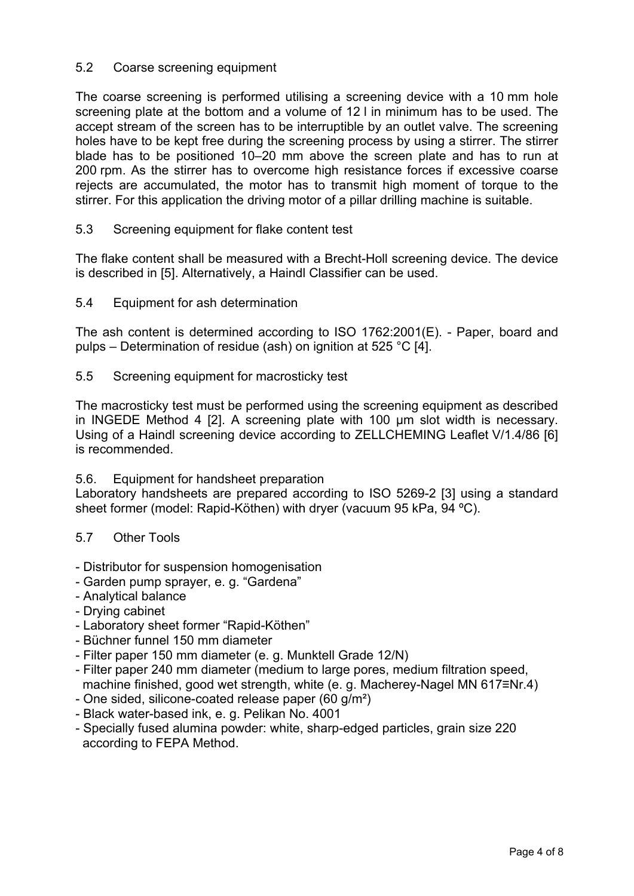## 5.2 Coarse screening equipment

The coarse screening is performed utilising a screening device with a 10 mm hole screening plate at the bottom and a volume of 12 l in minimum has to be used. The accept stream of the screen has to be interruptible by an outlet valve. The screening holes have to be kept free during the screening process by using a stirrer. The stirrer blade has to be positioned 10–20 mm above the screen plate and has to run at 200 rpm. As the stirrer has to overcome high resistance forces if excessive coarse rejects are accumulated, the motor has to transmit high moment of torque to the stirrer. For this application the driving motor of a pillar drilling machine is suitable.

## 5.3 Screening equipment for flake content test

The flake content shall be measured with a Brecht-Holl screening device. The device is described in [5]. Alternatively, a Haindl Classifier can be used.

5.4 Equipment for ash determination

The ash content is determined according to ISO 1762:2001(E). - Paper, board and pulps – Determination of residue (ash) on ignition at 525 °C [4].

5.5 Screening equipment for macrosticky test

The macrosticky test must be performed using the screening equipment as described in INGEDE Method 4 [2]. A screening plate with 100 µm slot width is necessary. Using of a Haindl screening device according to ZELLCHEMING Leaflet V/1.4/86 [6] is recommended.

5.6. Equipment for handsheet preparation

Laboratory handsheets are prepared according to ISO 5269-2 [3] using a standard sheet former (model: Rapid-Köthen) with dryer (vacuum 95 kPa, 94 ºC).

### 5.7 Other Tools

- Distributor for suspension homogenisation
- Garden pump sprayer, e. g. "Gardena"
- Analytical balance
- Drying cabinet
- Laboratory sheet former "Rapid-Köthen"
- Büchner funnel 150 mm diameter
- Filter paper 150 mm diameter (e. g. Munktell Grade 12/N)
- Filter paper 240 mm diameter (medium to large pores, medium filtration speed, machine finished, good wet strength, white (e. g. Macherey-Nagel MN 617≡Nr.4)
- One sided, silicone-coated release paper (60 g/m²)
- Black water-based ink, e. g. Pelikan No. 4001
- Specially fused alumina powder: white, sharp-edged particles, grain size 220 according to FEPA Method.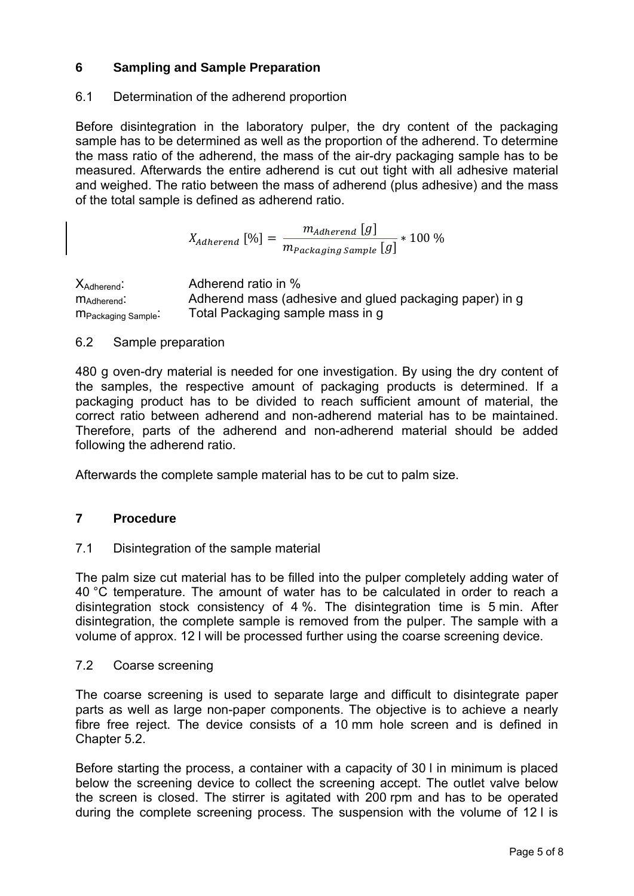# **6 Sampling and Sample Preparation**

## 6.1 Determination of the adherend proportion

Before disintegration in the laboratory pulper, the dry content of the packaging sample has to be determined as well as the proportion of the adherend. To determine the mass ratio of the adherend, the mass of the air-dry packaging sample has to be measured. Afterwards the entire adherend is cut out tight with all adhesive material and weighed. The ratio between the mass of adherend (plus adhesive) and the mass of the total sample is defined as adherend ratio.

> $X_{Adherend}$   $[%$ ] =  $m_{Adherend}$  [9]  $\frac{1}{m_{Packaging\,Sample}}$  + 100 %

X<sub>Adherend</sub>: Adherend ratio in % m<sub>Adherend</sub>: Adherend mass (adhesive and glued packaging paper) in g m<sub>Packaging Sample</sub>: Total Packaging sample mass in g

## 6.2 Sample preparation

480 g oven-dry material is needed for one investigation. By using the dry content of the samples, the respective amount of packaging products is determined. If a packaging product has to be divided to reach sufficient amount of material, the correct ratio between adherend and non-adherend material has to be maintained. Therefore, parts of the adherend and non-adherend material should be added following the adherend ratio.

Afterwards the complete sample material has to be cut to palm size.

# **7 Procedure**

## 7.1 Disintegration of the sample material

The palm size cut material has to be filled into the pulper completely adding water of 40 °C temperature. The amount of water has to be calculated in order to reach a disintegration stock consistency of 4 %. The disintegration time is 5 min. After disintegration, the complete sample is removed from the pulper. The sample with a volume of approx. 12 l will be processed further using the coarse screening device.

## 7.2 Coarse screening

The coarse screening is used to separate large and difficult to disintegrate paper parts as well as large non-paper components. The objective is to achieve a nearly fibre free reject. The device consists of a 10 mm hole screen and is defined in Chapter 5.2.

Before starting the process, a container with a capacity of 30 l in minimum is placed below the screening device to collect the screening accept. The outlet valve below the screen is closed. The stirrer is agitated with 200 rpm and has to be operated during the complete screening process. The suspension with the volume of 12 l is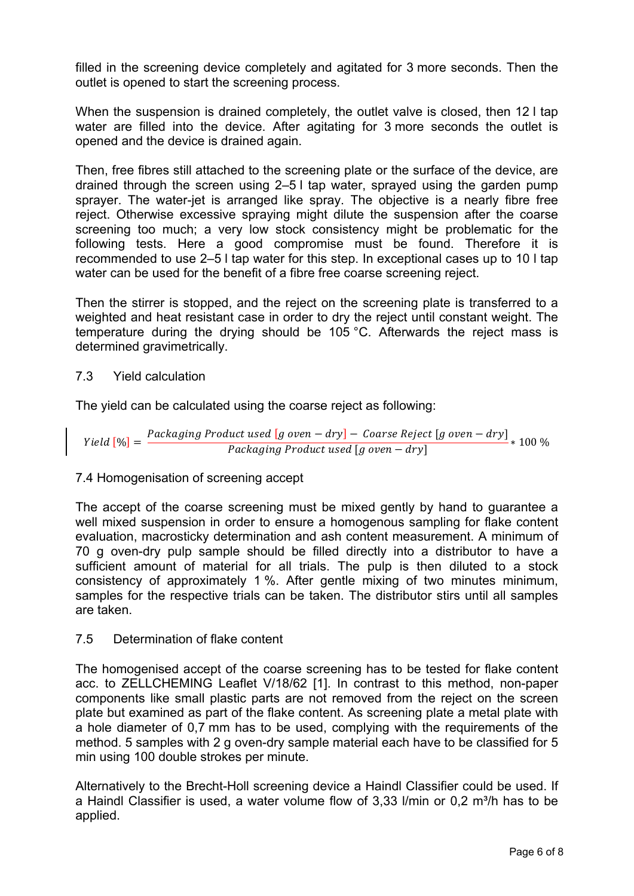filled in the screening device completely and agitated for 3 more seconds. Then the outlet is opened to start the screening process.

When the suspension is drained completely, the outlet valve is closed, then 12 l tap water are filled into the device. After agitating for 3 more seconds the outlet is opened and the device is drained again.

Then, free fibres still attached to the screening plate or the surface of the device, are drained through the screen using 2–5 l tap water, sprayed using the garden pump sprayer. The water-jet is arranged like spray. The objective is a nearly fibre free reject. Otherwise excessive spraying might dilute the suspension after the coarse screening too much; a very low stock consistency might be problematic for the following tests. Here a good compromise must be found. Therefore it is recommended to use 2–5 l tap water for this step. In exceptional cases up to 10 l tap water can be used for the benefit of a fibre free coarse screening reject.

Then the stirrer is stopped, and the reject on the screening plate is transferred to a weighted and heat resistant case in order to dry the reject until constant weight. The temperature during the drying should be 105 °C. Afterwards the reject mass is determined gravimetrically.

## 7.3 Yield calculation

The yield can be calculated using the coarse reject as following:

$$
Yield [%] = \frac{Packaging Product used [g oven - dry] - Coarse Reject [g oven - dry]}{Packaging Product used [g oven - dry]}
$$
<sup>\*</sup> 100 %

# 7.4 Homogenisation of screening accept

The accept of the coarse screening must be mixed gently by hand to guarantee a well mixed suspension in order to ensure a homogenous sampling for flake content evaluation, macrosticky determination and ash content measurement. A minimum of 70 g oven-dry pulp sample should be filled directly into a distributor to have a sufficient amount of material for all trials. The pulp is then diluted to a stock consistency of approximately 1 %. After gentle mixing of two minutes minimum, samples for the respective trials can be taken. The distributor stirs until all samples are taken.

## 7.5 Determination of flake content

The homogenised accept of the coarse screening has to be tested for flake content acc. to ZELLCHEMING Leaflet V/18/62 [1]. In contrast to this method, non-paper components like small plastic parts are not removed from the reject on the screen plate but examined as part of the flake content. As screening plate a metal plate with a hole diameter of 0,7 mm has to be used, complying with the requirements of the method. 5 samples with 2 g oven-dry sample material each have to be classified for 5 min using 100 double strokes per minute.

Alternatively to the Brecht-Holl screening device a Haindl Classifier could be used. If a Haindl Classifier is used, a water volume flow of 3,33 l/min or  $0.2 \text{ m}^3$ /h has to be applied.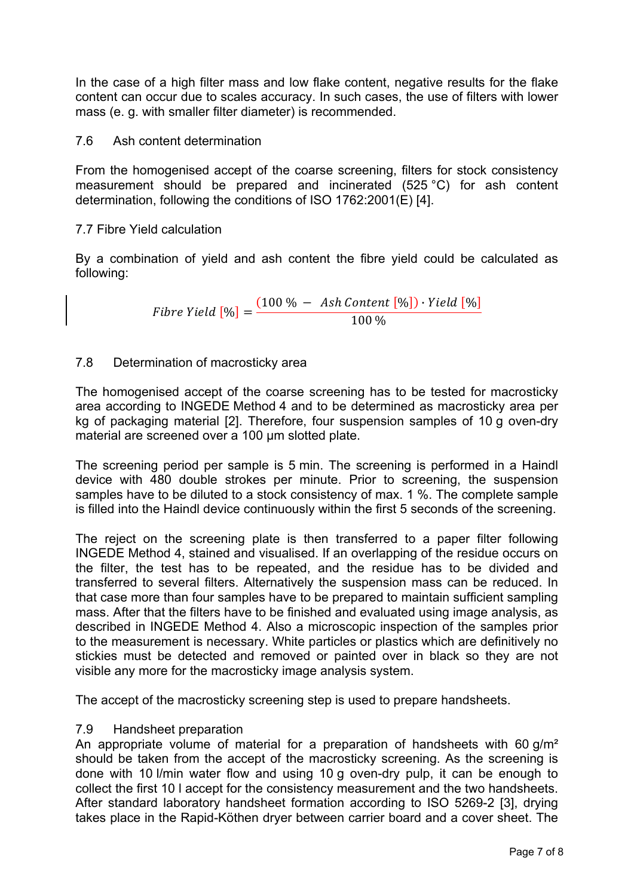In the case of a high filter mass and low flake content, negative results for the flake content can occur due to scales accuracy. In such cases, the use of filters with lower mass (e. g. with smaller filter diameter) is recommended.

## 7.6 Ash content determination

From the homogenised accept of the coarse screening, filters for stock consistency measurement should be prepared and incinerated (525 °C) for ash content determination, following the conditions of ISO 1762:2001(E) [4].

### 7.7 Fibre Yield calculation

By a combination of yield and ash content the fibre yield could be calculated as following:

> $Fibre\ Yield\ [\%] = \frac{(100\%-Ash\ Content\ [\%]) \cdot Yield\ [\%]}{100\%-100\% + 100\%]}$ 100 %

## 7.8 Determination of macrosticky area

The homogenised accept of the coarse screening has to be tested for macrosticky area according to INGEDE Method 4 and to be determined as macrosticky area per kg of packaging material [2]. Therefore, four suspension samples of 10 g oven-dry material are screened over a 100 µm slotted plate.

The screening period per sample is 5 min. The screening is performed in a Haindl device with 480 double strokes per minute. Prior to screening, the suspension samples have to be diluted to a stock consistency of max. 1 %. The complete sample is filled into the Haindl device continuously within the first 5 seconds of the screening.

The reject on the screening plate is then transferred to a paper filter following INGEDE Method 4, stained and visualised. If an overlapping of the residue occurs on the filter, the test has to be repeated, and the residue has to be divided and transferred to several filters. Alternatively the suspension mass can be reduced. In that case more than four samples have to be prepared to maintain sufficient sampling mass. After that the filters have to be finished and evaluated using image analysis, as described in INGEDE Method 4. Also a microscopic inspection of the samples prior to the measurement is necessary. White particles or plastics which are definitively no stickies must be detected and removed or painted over in black so they are not visible any more for the macrosticky image analysis system.

The accept of the macrosticky screening step is used to prepare handsheets.

### 7.9 Handsheet preparation

An appropriate volume of material for a preparation of handsheets with 60 g/m<sup>2</sup> should be taken from the accept of the macrosticky screening. As the screening is done with 10 l/min water flow and using 10 g oven-dry pulp, it can be enough to collect the first 10 l accept for the consistency measurement and the two handsheets. After standard laboratory handsheet formation according to ISO 5269-2 [3], drying takes place in the Rapid-Köthen dryer between carrier board and a cover sheet. The